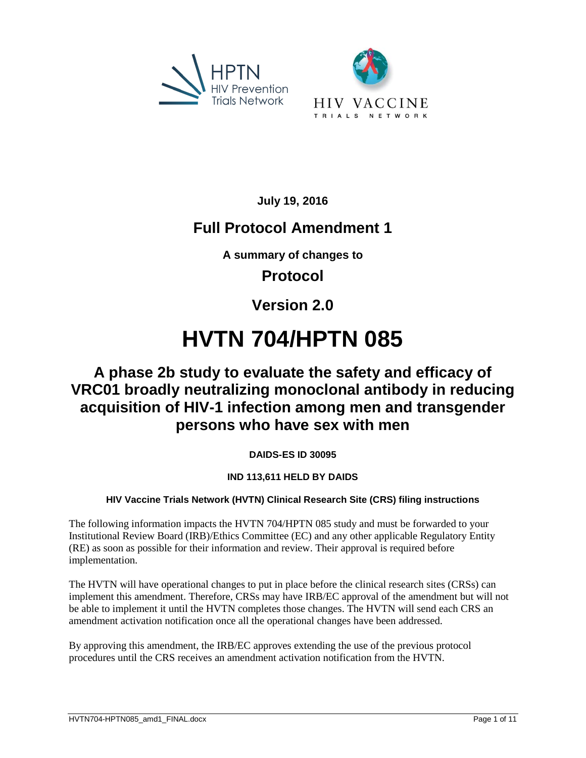



**July 19, 2016**

# **Full Protocol Amendment 1**

**A summary of changes to**

**Protocol**

**Version 2.0**

# **HVTN 704/HPTN 085**

# **A phase 2b study to evaluate the safety and efficacy of VRC01 broadly neutralizing monoclonal antibody in reducing acquisition of HIV-1 infection among men and transgender persons who have sex with men**

**DAIDS-ES ID 30095**

# **IND 113,611 HELD BY DAIDS**

# **HIV Vaccine Trials Network (HVTN) Clinical Research Site (CRS) filing instructions**

The following information impacts the HVTN 704/HPTN 085 study and must be forwarded to your Institutional Review Board (IRB)/Ethics Committee (EC) and any other applicable Regulatory Entity (RE) as soon as possible for their information and review. Their approval is required before implementation.

The HVTN will have operational changes to put in place before the clinical research sites (CRSs) can implement this amendment. Therefore, CRSs may have IRB/EC approval of the amendment but will not be able to implement it until the HVTN completes those changes. The HVTN will send each CRS an amendment activation notification once all the operational changes have been addressed.

By approving this amendment, the IRB/EC approves extending the use of the previous protocol procedures until the CRS receives an amendment activation notification from the HVTN.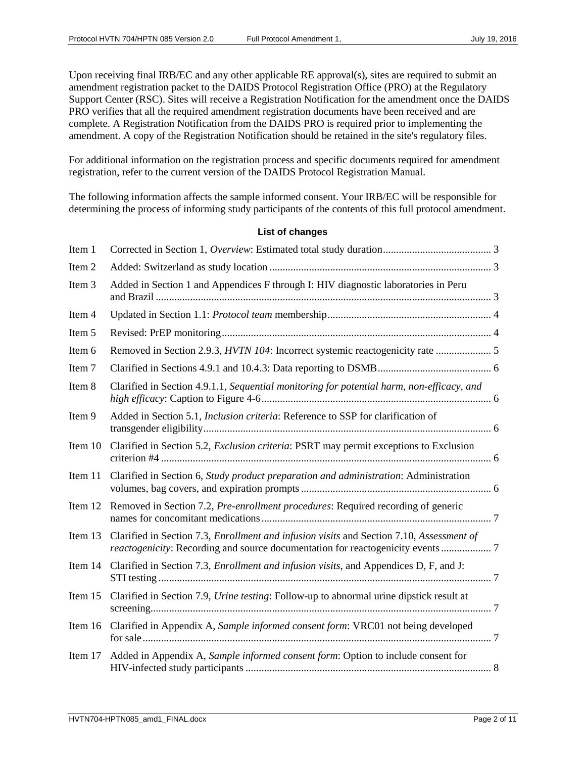Upon receiving final IRB/EC and any other applicable RE approval(s), sites are required to submit an amendment registration packet to the DAIDS Protocol Registration Office (PRO) at the Regulatory Support Center (RSC). Sites will receive a Registration Notification for the amendment once the DAIDS PRO verifies that all the required amendment registration documents have been received and are complete. A Registration Notification from the DAIDS PRO is required prior to implementing the amendment. A copy of the Registration Notification should be retained in the site's regulatory files.

For additional information on the registration process and specific documents required for amendment registration, refer to the current version of the DAIDS Protocol Registration Manual.

The following information affects the sample informed consent. Your IRB/EC will be responsible for determining the process of informing study participants of the contents of this full protocol amendment.

#### **List of changes**

| Item 1            |                                                                                                                                                                                         |  |
|-------------------|-----------------------------------------------------------------------------------------------------------------------------------------------------------------------------------------|--|
| Item 2            |                                                                                                                                                                                         |  |
| Item <sub>3</sub> | Added in Section 1 and Appendices F through I: HIV diagnostic laboratories in Peru                                                                                                      |  |
| Item 4            |                                                                                                                                                                                         |  |
| Item 5            |                                                                                                                                                                                         |  |
| Item 6            | Removed in Section 2.9.3, HVTN 104: Incorrect systemic reactogenicity rate  5                                                                                                           |  |
| Item 7            |                                                                                                                                                                                         |  |
| Item 8            | Clarified in Section 4.9.1.1, Sequential monitoring for potential harm, non-efficacy, and                                                                                               |  |
| Item 9            | Added in Section 5.1, Inclusion criteria: Reference to SSP for clarification of                                                                                                         |  |
| Item 10           | Clarified in Section 5.2, <i>Exclusion criteria</i> : PSRT may permit exceptions to Exclusion                                                                                           |  |
| Item 11           | Clarified in Section 6, Study product preparation and administration: Administration                                                                                                    |  |
| Item 12           | Removed in Section 7.2, Pre-enrollment procedures: Required recording of generic                                                                                                        |  |
| Item 13           | Clarified in Section 7.3, <i>Enrollment and infusion visits</i> and Section 7.10, <i>Assessment of</i><br>reactogenicity: Recording and source documentation for reactogenicity events7 |  |
| Item 14           | Clarified in Section 7.3, <i>Enrollment and infusion visits</i> , and Appendices D, F, and J:                                                                                           |  |
| Item 15           | Clarified in Section 7.9, Urine testing: Follow-up to abnormal urine dipstick result at                                                                                                 |  |
| Item 16           | Clarified in Appendix A, Sample informed consent form: VRC01 not being developed                                                                                                        |  |
| Item 17           | Added in Appendix A, Sample informed consent form: Option to include consent for                                                                                                        |  |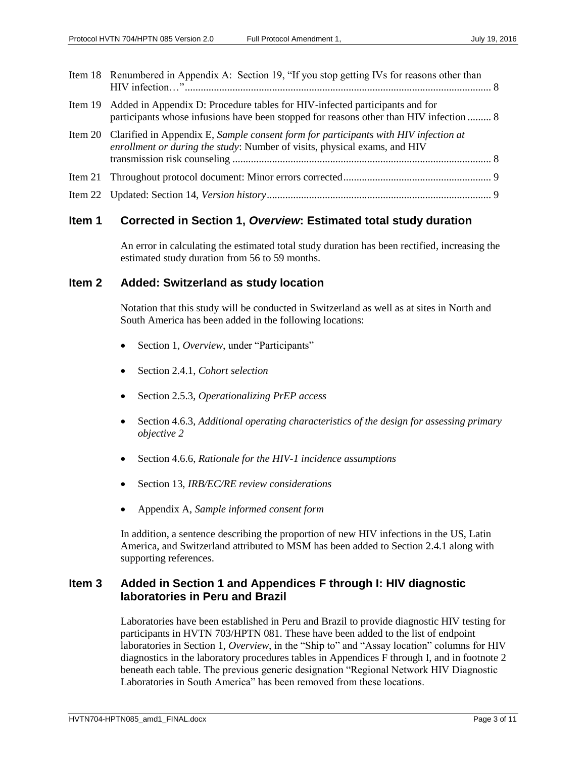| Item 18 Renumbered in Appendix A: Section 19, "If you stop getting IVs for reasons other than                                                                                 |  |
|-------------------------------------------------------------------------------------------------------------------------------------------------------------------------------|--|
| Item 19 Added in Appendix D: Procedure tables for HIV-infected participants and for<br>participants whose infusions have been stopped for reasons other than HIV infection  8 |  |
| Item 20 Clarified in Appendix E, Sample consent form for participants with HIV infection at<br>enrollment or during the study: Number of visits, physical exams, and HIV      |  |
|                                                                                                                                                                               |  |
|                                                                                                                                                                               |  |
|                                                                                                                                                                               |  |

# <span id="page-2-0"></span>**Item 1 Corrected in Section 1,** *Overview***: Estimated total study duration**

An error in calculating the estimated total study duration has been rectified, increasing the estimated study duration from 56 to 59 months.

#### <span id="page-2-1"></span>**Item 2 Added: Switzerland as study location**

Notation that this study will be conducted in Switzerland as well as at sites in North and South America has been added in the following locations:

- Section 1, *Overview*, under "Participants"
- Section 2.4.1, *Cohort selection*
- Section 2.5.3, *Operationalizing PrEP access*
- Section 4.6.3, *Additional operating characteristics of the design for assessing primary objective 2*
- Section 4.6.6, *Rationale for the HIV-1 incidence assumptions*
- Section 13, *IRB/EC/RE review considerations*
- Appendix A, *Sample informed consent form*

In addition, a sentence describing the proportion of new HIV infections in the US, Latin America, and Switzerland attributed to MSM has been added to Section 2.4.1 along with supporting references.

# <span id="page-2-2"></span>**Item 3 Added in Section 1 and Appendices F through I: HIV diagnostic laboratories in Peru and Brazil**

Laboratories have been established in Peru and Brazil to provide diagnostic HIV testing for participants in HVTN 703/HPTN 081. These have been added to the list of endpoint laboratories in Section 1, *Overview*, in the "Ship to" and "Assay location" columns for HIV diagnostics in the laboratory procedures tables in Appendices F through I, and in footnote 2 beneath each table. The previous generic designation "Regional Network HIV Diagnostic Laboratories in South America" has been removed from these locations.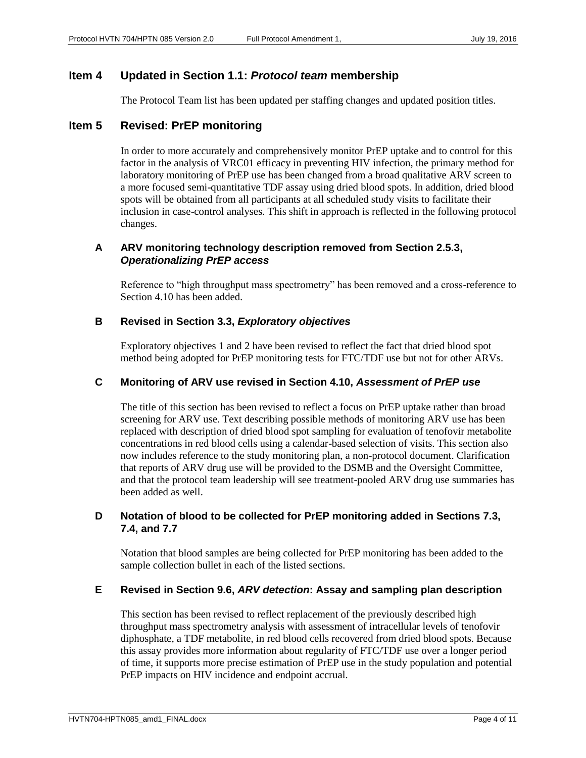# <span id="page-3-0"></span>**Item 4 Updated in Section 1.1:** *Protocol team* **membership**

The Protocol Team list has been updated per staffing changes and updated position titles.

#### <span id="page-3-1"></span>**Item 5 Revised: PrEP monitoring**

In order to more accurately and comprehensively monitor PrEP uptake and to control for this factor in the analysis of VRC01 efficacy in preventing HIV infection, the primary method for laboratory monitoring of PrEP use has been changed from a broad qualitative ARV screen to a more focused semi-quantitative TDF assay using dried blood spots. In addition, dried blood spots will be obtained from all participants at all scheduled study visits to facilitate their inclusion in case-control analyses. This shift in approach is reflected in the following protocol changes.

#### **A ARV monitoring technology description removed from Section 2.5.3,**  *Operationalizing PrEP access*

Reference to "high throughput mass spectrometry" has been removed and a cross-reference to Section 4.10 has been added.

#### **B Revised in Section 3.3,** *Exploratory objectives*

Exploratory objectives 1 and 2 have been revised to reflect the fact that dried blood spot method being adopted for PrEP monitoring tests for FTC/TDF use but not for other ARVs.

#### **C Monitoring of ARV use revised in Section 4.10,** *Assessment of PrEP use*

The title of this section has been revised to reflect a focus on PrEP uptake rather than broad screening for ARV use. Text describing possible methods of monitoring ARV use has been replaced with description of dried blood spot sampling for evaluation of tenofovir metabolite concentrations in red blood cells using a calendar-based selection of visits. This section also now includes reference to the study monitoring plan, a non-protocol document. Clarification that reports of ARV drug use will be provided to the DSMB and the Oversight Committee, and that the protocol team leadership will see treatment-pooled ARV drug use summaries has been added as well.

#### **D Notation of blood to be collected for PrEP monitoring added in Sections 7.3, 7.4, and 7.7**

Notation that blood samples are being collected for PrEP monitoring has been added to the sample collection bullet in each of the listed sections.

#### **E Revised in Section 9.6,** *ARV detection***: Assay and sampling plan description**

This section has been revised to reflect replacement of the previously described high throughput mass spectrometry analysis with assessment of intracellular levels of tenofovir diphosphate, a TDF metabolite, in red blood cells recovered from dried blood spots. Because this assay provides more information about regularity of FTC/TDF use over a longer period of time, it supports more precise estimation of PrEP use in the study population and potential PrEP impacts on HIV incidence and endpoint accrual.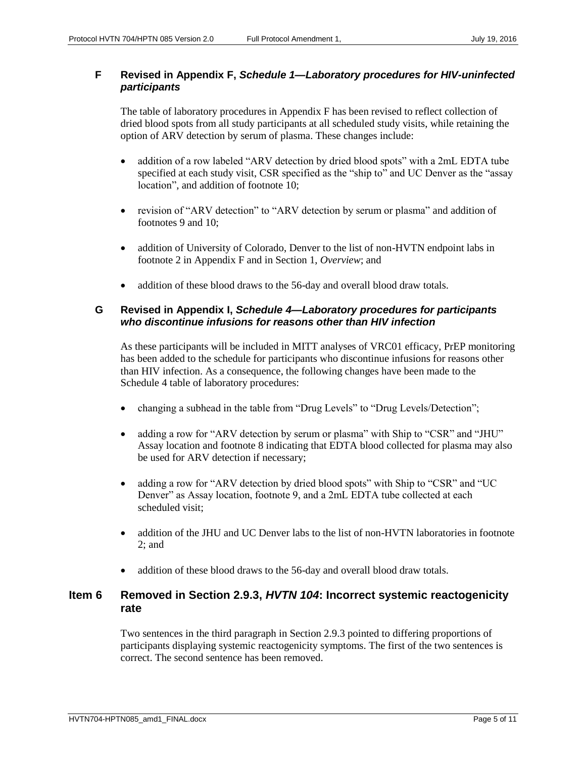#### **F Revised in Appendix F,** *Schedule 1—Laboratory procedures for HIV-uninfected participants*

The table of laboratory procedures in Appendix F has been revised to reflect collection of dried blood spots from all study participants at all scheduled study visits, while retaining the option of ARV detection by serum of plasma. These changes include:

- addition of a row labeled "ARV detection by dried blood spots" with a 2mL EDTA tube specified at each study visit, CSR specified as the "ship to" and UC Denver as the "assay location", and addition of footnote 10;
- revision of "ARV detection" to "ARV detection by serum or plasma" and addition of footnotes 9 and 10;
- addition of University of Colorado, Denver to the list of non-HVTN endpoint labs in footnote 2 in Appendix F and in Section 1, *Overview*; and
- addition of these blood draws to the 56-day and overall blood draw totals.

#### **G Revised in Appendix I,** *Schedule 4—Laboratory procedures for participants who discontinue infusions for reasons other than HIV infection*

As these participants will be included in MITT analyses of VRC01 efficacy, PrEP monitoring has been added to the schedule for participants who discontinue infusions for reasons other than HIV infection. As a consequence, the following changes have been made to the Schedule 4 table of laboratory procedures:

- changing a subhead in the table from "Drug Levels" to "Drug Levels/Detection";
- adding a row for "ARV detection by serum or plasma" with Ship to "CSR" and "JHU" Assay location and footnote 8 indicating that EDTA blood collected for plasma may also be used for ARV detection if necessary;
- adding a row for "ARV detection by dried blood spots" with Ship to "CSR" and "UC Denver" as Assay location, footnote 9, and a 2mL EDTA tube collected at each scheduled visit;
- addition of the JHU and UC Denver labs to the list of non-HVTN laboratories in footnote 2; and
- addition of these blood draws to the 56-day and overall blood draw totals.

# <span id="page-4-0"></span>**Item 6 Removed in Section 2.9.3,** *HVTN 104***: Incorrect systemic reactogenicity rate**

Two sentences in the third paragraph in Section 2.9.3 pointed to differing proportions of participants displaying systemic reactogenicity symptoms. The first of the two sentences is correct. The second sentence has been removed.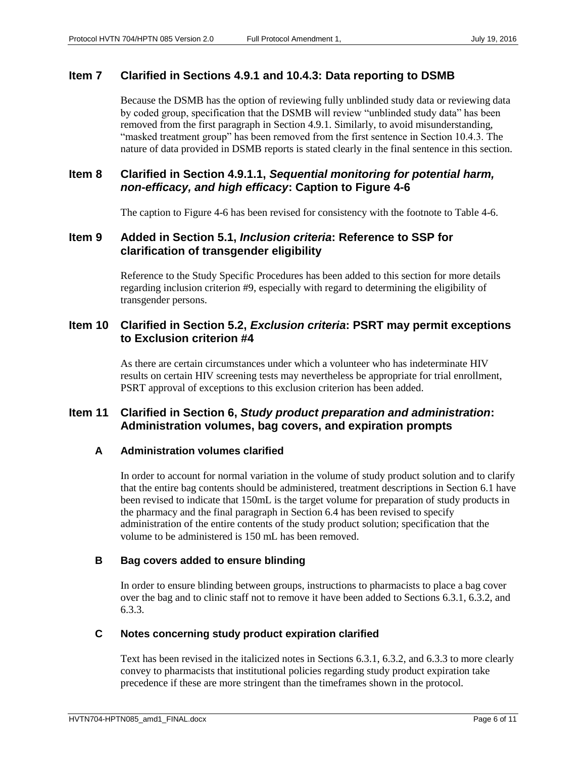# <span id="page-5-0"></span>**Item 7 Clarified in Sections 4.9.1 and 10.4.3: Data reporting to DSMB**

Because the DSMB has the option of reviewing fully unblinded study data or reviewing data by coded group, specification that the DSMB will review "unblinded study data" has been removed from the first paragraph in Section 4.9.1. Similarly, to avoid misunderstanding, "masked treatment group" has been removed from the first sentence in Section 10.4.3. The nature of data provided in DSMB reports is stated clearly in the final sentence in this section.

# <span id="page-5-1"></span>**Item 8 Clarified in Section 4.9.1.1,** *Sequential monitoring for potential harm, non-efficacy, and high efficacy***: Caption to Figure 4-6**

The caption to Figure 4-6 has been revised for consistency with the footnote to Table 4-6.

#### <span id="page-5-2"></span>**Item 9 Added in Section 5.1,** *Inclusion criteria***: Reference to SSP for clarification of transgender eligibility**

Reference to the Study Specific Procedures has been added to this section for more details regarding inclusion criterion #9, especially with regard to determining the eligibility of transgender persons.

# <span id="page-5-3"></span>**Item 10 Clarified in Section 5.2,** *Exclusion criteria***: PSRT may permit exceptions to Exclusion criterion #4**

As there are certain circumstances under which a volunteer who has indeterminate HIV results on certain HIV screening tests may nevertheless be appropriate for trial enrollment, PSRT approval of exceptions to this exclusion criterion has been added.

# <span id="page-5-4"></span>**Item 11 Clarified in Section 6,** *Study product preparation and administration***: Administration volumes, bag covers, and expiration prompts**

#### **A Administration volumes clarified**

In order to account for normal variation in the volume of study product solution and to clarify that the entire bag contents should be administered, treatment descriptions in Section 6.1 have been revised to indicate that 150mL is the target volume for preparation of study products in the pharmacy and the final paragraph in Section 6.4 has been revised to specify administration of the entire contents of the study product solution; specification that the volume to be administered is 150 mL has been removed.

#### **B Bag covers added to ensure blinding**

In order to ensure blinding between groups, instructions to pharmacists to place a bag cover over the bag and to clinic staff not to remove it have been added to Sections 6.3.1, 6.3.2, and 6.3.3.

# **C Notes concerning study product expiration clarified**

Text has been revised in the italicized notes in Sections 6.3.1, 6.3.2, and 6.3.3 to more clearly convey to pharmacists that institutional policies regarding study product expiration take precedence if these are more stringent than the timeframes shown in the protocol.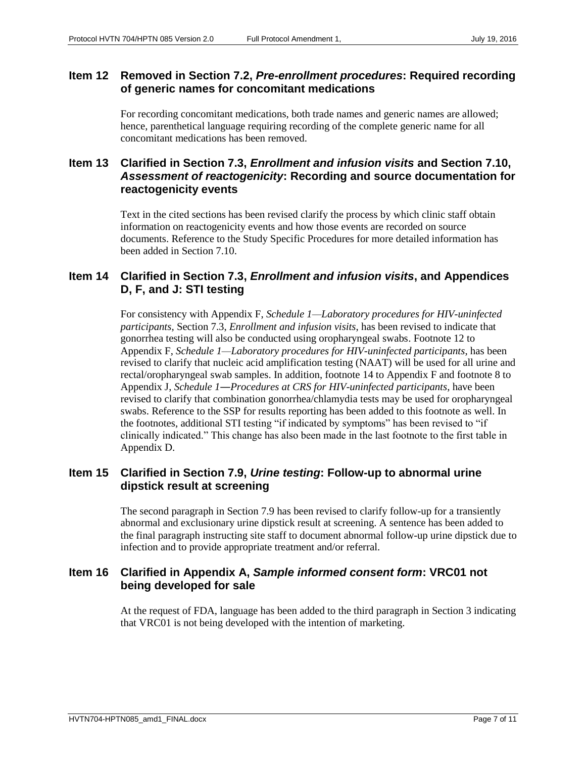# <span id="page-6-0"></span>**Item 12 Removed in Section 7.2,** *Pre-enrollment procedures***: Required recording of generic names for concomitant medications**

For recording concomitant medications, both trade names and generic names are allowed; hence, parenthetical language requiring recording of the complete generic name for all concomitant medications has been removed.

# <span id="page-6-1"></span>**Item 13 Clarified in Section 7.3,** *Enrollment and infusion visits* **and Section 7.10,**  *Assessment of reactogenicity***: Recording and source documentation for reactogenicity events**

Text in the cited sections has been revised clarify the process by which clinic staff obtain information on reactogenicity events and how those events are recorded on source documents. Reference to the Study Specific Procedures for more detailed information has been added in Section 7.10.

# <span id="page-6-2"></span>**Item 14 Clarified in Section 7.3,** *Enrollment and infusion visits***, and Appendices D, F, and J: STI testing**

For consistency with Appendix F, *Schedule 1—Laboratory procedures for HIV-uninfected participants*, Section 7.3, *Enrollment and infusion visits*, has been revised to indicate that gonorrhea testing will also be conducted using oropharyngeal swabs. Footnote 12 to Appendix F, *Schedule 1—Laboratory procedures for HIV-uninfected participants*, has been revised to clarify that nucleic acid amplification testing (NAAT) will be used for all urine and rectal/oropharyngeal swab samples. In addition, footnote 14 to Appendix F and footnote 8 to Appendix J, *Schedule 1―Procedures at CRS for HIV-uninfected participants*, have been revised to clarify that combination gonorrhea/chlamydia tests may be used for oropharyngeal swabs. Reference to the SSP for results reporting has been added to this footnote as well. In the footnotes, additional STI testing "if indicated by symptoms" has been revised to "if clinically indicated." This change has also been made in the last footnote to the first table in Appendix D.

# <span id="page-6-3"></span>**Item 15 Clarified in Section 7.9,** *Urine testing***: Follow-up to abnormal urine dipstick result at screening**

The second paragraph in Section 7.9 has been revised to clarify follow-up for a transiently abnormal and exclusionary urine dipstick result at screening. A sentence has been added to the final paragraph instructing site staff to document abnormal follow-up urine dipstick due to infection and to provide appropriate treatment and/or referral.

# <span id="page-6-4"></span>**Item 16 Clarified in Appendix A,** *Sample informed consent form***: VRC01 not being developed for sale**

At the request of FDA, language has been added to the third paragraph in Section 3 indicating that VRC01 is not being developed with the intention of marketing.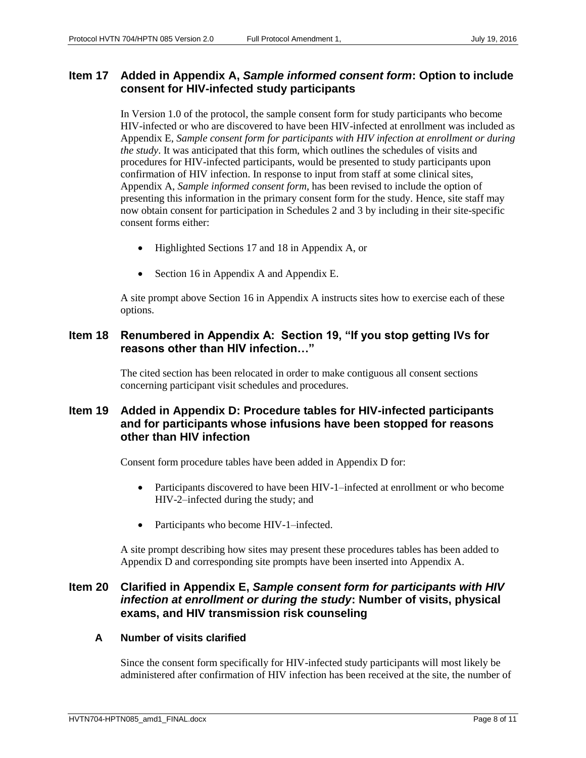# <span id="page-7-0"></span>**Item 17 Added in Appendix A,** *Sample informed consent form***: Option to include consent for HIV-infected study participants**

In Version 1.0 of the protocol, the sample consent form for study participants who become HIV-infected or who are discovered to have been HIV-infected at enrollment was included as Appendix E, *Sample consent form for participants with HIV infection at enrollment or during the study*. It was anticipated that this form, which outlines the schedules of visits and procedures for HIV-infected participants, would be presented to study participants upon confirmation of HIV infection. In response to input from staff at some clinical sites, Appendix A, *Sample informed consent form*, has been revised to include the option of presenting this information in the primary consent form for the study. Hence, site staff may now obtain consent for participation in Schedules 2 and 3 by including in their site-specific consent forms either:

- Highlighted Sections 17 and 18 in Appendix A, or
- Section 16 in Appendix A and Appendix E.

A site prompt above Section 16 in Appendix A instructs sites how to exercise each of these options.

# <span id="page-7-1"></span>**Item 18 Renumbered in Appendix A: Section 19, "If you stop getting IVs for reasons other than HIV infection…"**

The cited section has been relocated in order to make contiguous all consent sections concerning participant visit schedules and procedures.

# <span id="page-7-2"></span>**Item 19 Added in Appendix D: Procedure tables for HIV-infected participants and for participants whose infusions have been stopped for reasons other than HIV infection**

Consent form procedure tables have been added in Appendix D for:

- Participants discovered to have been HIV-1–infected at enrollment or who become HIV-2–infected during the study; and
- Participants who become HIV-1–infected.

A site prompt describing how sites may present these procedures tables has been added to Appendix D and corresponding site prompts have been inserted into Appendix A.

# <span id="page-7-3"></span>**Item 20 Clarified in Appendix E,** *Sample consent form for participants with HIV infection at enrollment or during the study***: Number of visits, physical exams, and HIV transmission risk counseling**

#### **A Number of visits clarified**

Since the consent form specifically for HIV-infected study participants will most likely be administered after confirmation of HIV infection has been received at the site, the number of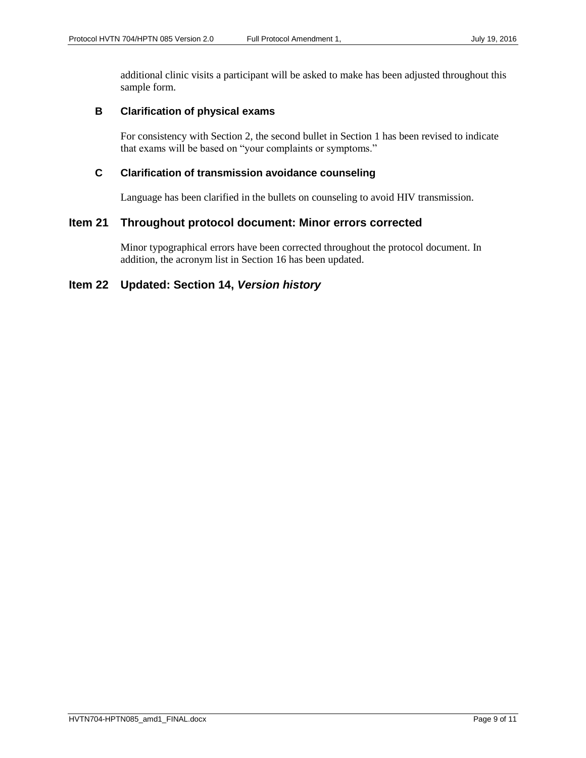additional clinic visits a participant will be asked to make has been adjusted throughout this sample form.

#### **B Clarification of physical exams**

For consistency with Section 2, the second bullet in Section 1 has been revised to indicate that exams will be based on "your complaints or symptoms."

#### **C Clarification of transmission avoidance counseling**

Language has been clarified in the bullets on counseling to avoid HIV transmission.

#### <span id="page-8-0"></span>**Item 21 Throughout protocol document: Minor errors corrected**

Minor typographical errors have been corrected throughout the protocol document. In addition, the acronym list in Section 16 has been updated.

#### <span id="page-8-1"></span>**Item 22 Updated: Section 14,** *Version history*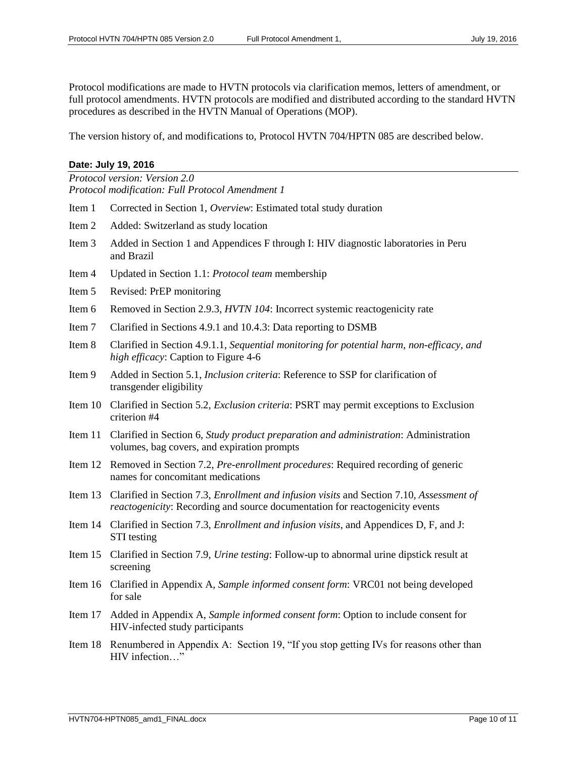Protocol modifications are made to HVTN protocols via clarification memos, letters of amendment, or full protocol amendments. HVTN protocols are modified and distributed according to the standard HVTN procedures as described in the HVTN Manual of Operations (MOP).

The version history of, and modifications to, Protocol HVTN 704/HPTN 085 are described below.

#### **Date: July 19, 2016**

*Protocol version: Version 2.0 Protocol modification: Full Protocol Amendment 1*

- Item 1 Corrected in Section 1, *Overview*: Estimated total study duration
- Item 2 Added: Switzerland as study location
- Item 3 Added in Section 1 and Appendices F through I: HIV diagnostic laboratories in Peru and Brazil
- Item 4 Updated in Section 1.1: *Protocol team* membership
- Item 5 Revised: PrEP monitoring
- Item 6 Removed in Section 2.9.3, *HVTN 104*: Incorrect systemic reactogenicity rate
- Item 7 Clarified in Sections 4.9.1 and 10.4.3: Data reporting to DSMB
- Item 8 Clarified in Section 4.9.1.1, *Sequential monitoring for potential harm, non-efficacy, and high efficacy*: Caption to Figure 4-6
- Item 9 Added in Section 5.1, *Inclusion criteria*: Reference to SSP for clarification of transgender eligibility
- Item 10 Clarified in Section 5.2, *Exclusion criteria*: PSRT may permit exceptions to Exclusion criterion #4
- Item 11 Clarified in Section 6, *Study product preparation and administration*: Administration volumes, bag covers, and expiration prompts
- Item 12 Removed in Section 7.2, *Pre-enrollment procedures*: Required recording of generic names for concomitant medications
- Item 13 Clarified in Section 7.3, *Enrollment and infusion visits* and Section 7.10, *Assessment of reactogenicity*: Recording and source documentation for reactogenicity events
- Item 14 Clarified in Section 7.3, *Enrollment and infusion visits*, and Appendices D, F, and J: STI testing
- Item 15 Clarified in Section 7.9, *Urine testing*: Follow-up to abnormal urine dipstick result at screening
- Item 16 Clarified in Appendix A, *Sample informed consent form*: VRC01 not being developed for sale
- Item 17 Added in Appendix A, *Sample informed consent form*: Option to include consent for HIV-infected study participants
- Item 18 Renumbered in Appendix A: Section 19, "If you stop getting IVs for reasons other than HIV infection…"